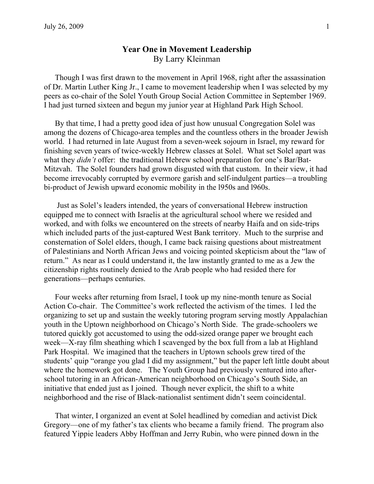## Year One in Movement Leadership By Larry Kleinman

Though I was first drawn to the movement in April 1968, right after the assassination of Dr. Martin Luther King Jr., I came to movement leadership when I was selected by my peers as co-chair of the Solel Youth Group Social Action Committee in September 1969. I had just turned sixteen and begun my junior year at Highland Park High School.

By that time, I had a pretty good idea of just how unusual Congregation Solel was among the dozens of Chicago-area temples and the countless others in the broader Jewish world. I had returned in late August from a seven-week sojourn in Israel, my reward for finishing seven years of twice-weekly Hebrew classes at Solel. What set Solel apart was what they *didn't* offer: the traditional Hebrew school preparation for one's Bar/Bat-Mitzvah. The Solel founders had grown disgusted with that custom. In their view, it had become irrevocably corrupted by evermore garish and self-indulgent parties—a troubling bi-product of Jewish upward economic mobility in the l950s and l960s.

 Just as Solel's leaders intended, the years of conversational Hebrew instruction equipped me to connect with Israelis at the agricultural school where we resided and worked, and with folks we encountered on the streets of nearby Haifa and on side-trips which included parts of the just-captured West Bank territory. Much to the surprise and consternation of Solel elders, though, I came back raising questions about mistreatment of Palestinians and North African Jews and voicing pointed skepticism about the "law of return." As near as I could understand it, the law instantly granted to me as a Jew the citizenship rights routinely denied to the Arab people who had resided there for generations—perhaps centuries.

Four weeks after returning from Israel, I took up my nine-month tenure as Social Action Co-chair. The Committee's work reflected the activism of the times. I led the organizing to set up and sustain the weekly tutoring program serving mostly Appalachian youth in the Uptown neighborhood on Chicago's North Side. The grade-schoolers we tutored quickly got accustomed to using the odd-sized orange paper we brought each week—X-ray film sheathing which I scavenged by the box full from a lab at Highland Park Hospital. We imagined that the teachers in Uptown schools grew tired of the students' quip "orange you glad I did my assignment," but the paper left little doubt about where the homework got done. The Youth Group had previously ventured into afterschool tutoring in an African-American neighborhood on Chicago's South Side, an initiative that ended just as I joined. Though never explicit, the shift to a white neighborhood and the rise of Black-nationalist sentiment didn't seem coincidental.

That winter, I organized an event at Solel headlined by comedian and activist Dick Gregory—one of my father's tax clients who became a family friend. The program also featured Yippie leaders Abby Hoffman and Jerry Rubin, who were pinned down in the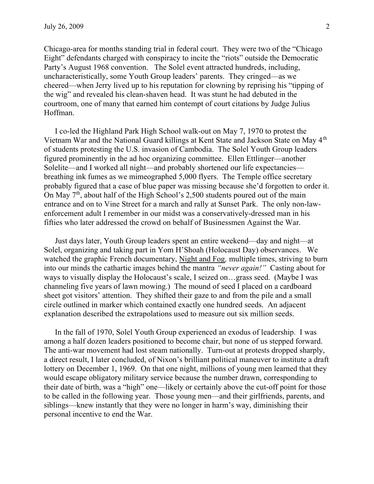Chicago-area for months standing trial in federal court. They were two of the "Chicago Eight" defendants charged with conspiracy to incite the "riots" outside the Democratic Party's August 1968 convention. The Solel event attracted hundreds, including, uncharacteristically, some Youth Group leaders' parents. They cringed—as we cheered—when Jerry lived up to his reputation for clowning by reprising his "tipping of the wig" and revealed his clean-shaven head. It was stunt he had debuted in the courtroom, one of many that earned him contempt of court citations by Judge Julius Hoffman.

I co-led the Highland Park High School walk-out on May 7, 1970 to protest the Vietnam War and the National Guard killings at Kent State and Jackson State on May 4th of students protesting the U.S. invasion of Cambodia. The Solel Youth Group leaders figured prominently in the ad hoc organizing committee. Ellen Ettlinger—another Solelite—and I worked all night—and probably shortened our life expectancies breathing ink fumes as we mimeographed 5,000 flyers. The Temple office secretary probably figured that a case of blue paper was missing because she'd forgotten to order it. On May  $7<sup>th</sup>$ , about half of the High School's 2,500 students poured out of the main entrance and on to Vine Street for a march and rally at Sunset Park. The only non-lawenforcement adult I remember in our midst was a conservatively-dressed man in his fifties who later addressed the crowd on behalf of Businessmen Against the War.

Just days later, Youth Group leaders spent an entire weekend—day and night—at Solel, organizing and taking part in Yom H'Shoah (Holocaust Day) observances. We watched the graphic French documentary, Night and Fog, multiple times, striving to burn into our minds the cathartic images behind the mantra "never again!" Casting about for ways to visually display the Holocaust's scale, I seized on…grass seed. (Maybe I was channeling five years of lawn mowing.) The mound of seed I placed on a cardboard sheet got visitors' attention. They shifted their gaze to and from the pile and a small circle outlined in marker which contained exactly one hundred seeds. An adjacent explanation described the extrapolations used to measure out six million seeds.

In the fall of 1970, Solel Youth Group experienced an exodus of leadership. I was among a half dozen leaders positioned to become chair, but none of us stepped forward. The anti-war movement had lost steam nationally. Turn-out at protests dropped sharply, a direct result, I later concluded, of Nixon's brilliant political maneuver to institute a draft lottery on December 1, 1969. On that one night, millions of young men learned that they would escape obligatory military service because the number drawn, corresponding to their date of birth, was a "high" one—likely or certainly above the cut-off point for those to be called in the following year. Those young men—and their girlfriends, parents, and siblings—knew instantly that they were no longer in harm's way, diminishing their personal incentive to end the War.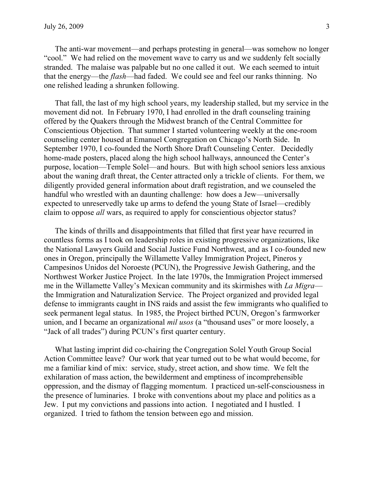The anti-war movement—and perhaps protesting in general—was somehow no longer "cool." We had relied on the movement wave to carry us and we suddenly felt socially stranded. The malaise was palpable but no one called it out. We each seemed to intuit that the energy—the flash—had faded. We could see and feel our ranks thinning. No one relished leading a shrunken following.

That fall, the last of my high school years, my leadership stalled, but my service in the movement did not. In February 1970, I had enrolled in the draft counseling training offered by the Quakers through the Midwest branch of the Central Committee for Conscientious Objection. That summer I started volunteering weekly at the one-room counseling center housed at Emanuel Congregation on Chicago's North Side. In September 1970, I co-founded the North Shore Draft Counseling Center. Decidedly home-made posters, placed along the high school hallways, announced the Center's purpose, location—Temple Solel—and hours. But with high school seniors less anxious about the waning draft threat, the Center attracted only a trickle of clients. For them, we diligently provided general information about draft registration, and we counseled the handful who wrestled with an daunting challenge: how does a Jew—universally expected to unreservedly take up arms to defend the young State of Israel—credibly claim to oppose all wars, as required to apply for conscientious objector status?

The kinds of thrills and disappointments that filled that first year have recurred in countless forms as I took on leadership roles in existing progressive organizations, like the National Lawyers Guild and Social Justice Fund Northwest, and as I co-founded new ones in Oregon, principally the Willamette Valley Immigration Project, Pineros y Campesinos Unidos del Noroeste (PCUN), the Progressive Jewish Gathering, and the Northwest Worker Justice Project. In the late 1970s, the Immigration Project immersed me in the Willamette Valley's Mexican community and its skirmishes with La Migra the Immigration and Naturalization Service. The Project organized and provided legal defense to immigrants caught in INS raids and assist the few immigrants who qualified to seek permanent legal status. In 1985, the Project birthed PCUN, Oregon's farmworker union, and I became an organizational mil usos (a "thousand uses" or more loosely, a "Jack of all trades") during PCUN's first quarter century.

What lasting imprint did co-chairing the Congregation Solel Youth Group Social Action Committee leave? Our work that year turned out to be what would become, for me a familiar kind of mix: service, study, street action, and show time. We felt the exhilaration of mass action, the bewilderment and emptiness of incomprehensible oppression, and the dismay of flagging momentum. I practiced un-self-consciousness in the presence of luminaries. I broke with conventions about my place and politics as a Jew. I put my convictions and passions into action. I negotiated and I hustled. I organized. I tried to fathom the tension between ego and mission.